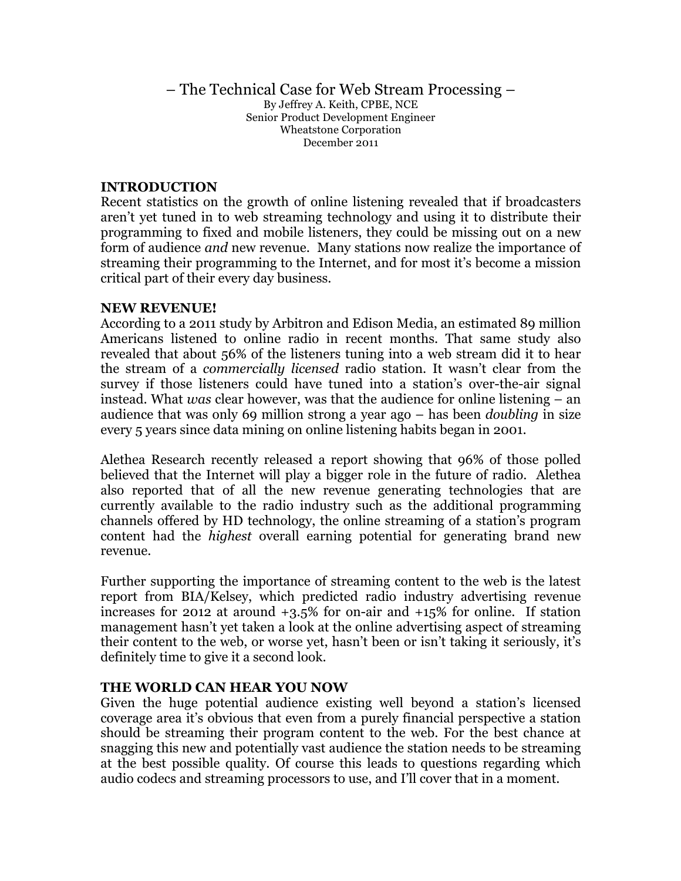#### – The Technical Case for Web Stream Processing – By Jeffrey A. Keith, CPBE, NCE Senior Product Development Engineer Wheatstone Corporation December 2011

#### **INTRODUCTION**

Recent statistics on the growth of online listening revealed that if broadcasters aren't yet tuned in to web streaming technology and using it to distribute their programming to fixed and mobile listeners, they could be missing out on a new form of audience *and* new revenue. Many stations now realize the importance of streaming their programming to the Internet, and for most it's become a mission critical part of their every day business.

#### **NEW REVENUE!**

According to a 2011 study by Arbitron and Edison Media, an estimated 89 million Americans listened to online radio in recent months. That same study also revealed that about 56% of the listeners tuning into a web stream did it to hear the stream of a *commercially licensed* radio station. It wasn't clear from the survey if those listeners could have tuned into a station's over-the-air signal instead. What *was* clear however, was that the audience for online listening – an audience that was only 69 million strong a year ago – has been *doubling* in size every 5 years since data mining on online listening habits began in 2001.

Alethea Research recently released a report showing that 96% of those polled believed that the Internet will play a bigger role in the future of radio. Alethea also reported that of all the new revenue generating technologies that are currently available to the radio industry such as the additional programming channels offered by HD technology, the online streaming of a station's program content had the *highest* overall earning potential for generating brand new revenue.

Further supporting the importance of streaming content to the web is the latest report from BIA/Kelsey, which predicted radio industry advertising revenue increases for 2012 at around +3.5% for on-air and +15% for online. If station management hasn't yet taken a look at the online advertising aspect of streaming their content to the web, or worse yet, hasn't been or isn't taking it seriously, it's definitely time to give it a second look.

### **THE WORLD CAN HEAR YOU NOW**

Given the huge potential audience existing well beyond a station's licensed coverage area it's obvious that even from a purely financial perspective a station should be streaming their program content to the web. For the best chance at snagging this new and potentially vast audience the station needs to be streaming at the best possible quality. Of course this leads to questions regarding which audio codecs and streaming processors to use, and I'll cover that in a moment.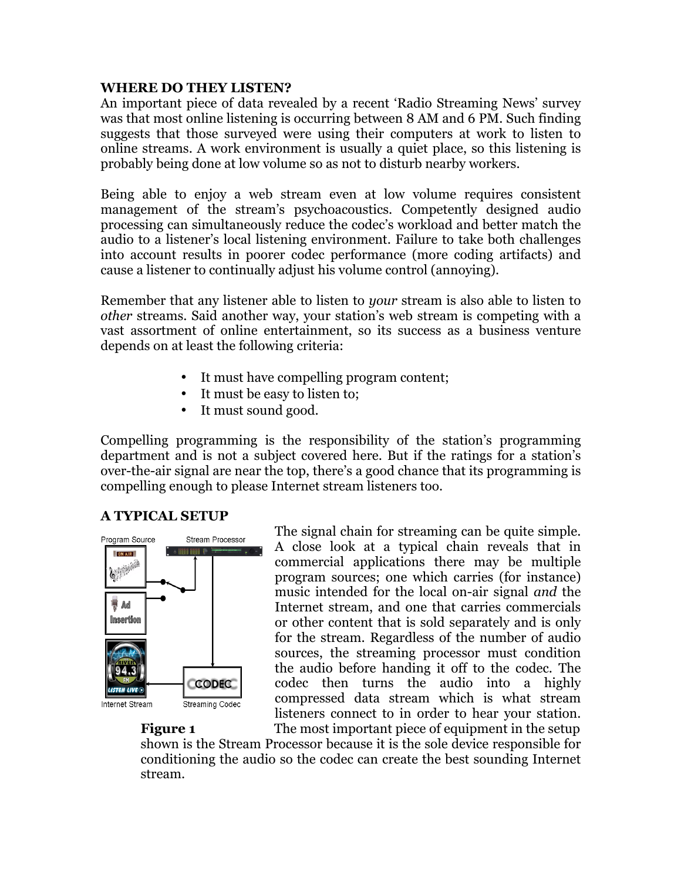#### **WHERE DO THEY LISTEN?**

An important piece of data revealed by a recent 'Radio Streaming News' survey was that most online listening is occurring between 8 AM and 6 PM. Such finding suggests that those surveyed were using their computers at work to listen to online streams. A work environment is usually a quiet place, so this listening is probably being done at low volume so as not to disturb nearby workers.

Being able to enjoy a web stream even at low volume requires consistent management of the stream's psychoacoustics. Competently designed audio processing can simultaneously reduce the codec's workload and better match the audio to a listener's local listening environment. Failure to take both challenges into account results in poorer codec performance (more coding artifacts) and cause a listener to continually adjust his volume control (annoying).

Remember that any listener able to listen to *your* stream is also able to listen to *other* streams. Said another way, your station's web stream is competing with a vast assortment of online entertainment, so its success as a business venture depends on at least the following criteria:

- It must have compelling program content;
- It must be easy to listen to;
- It must sound good.

Compelling programming is the responsibility of the station's programming department and is not a subject covered here. But if the ratings for a station's over-the-air signal are near the top, there's a good chance that its programming is compelling enough to please Internet stream listeners too.

### **A TYPICAL SETUP**



The signal chain for streaming can be quite simple. A close look at a typical chain reveals that in commercial applications there may be multiple program sources; one which carries (for instance) music intended for the local on-air signal *and* the Internet stream, and one that carries commercials or other content that is sold separately and is only for the stream. Regardless of the number of audio sources, the streaming processor must condition the audio before handing it off to the codec. The codec then turns the audio into a highly compressed data stream which is what stream listeners connect to in order to hear your station.

**Figure 1** The most important piece of equipment in the setup shown is the Stream Processor because it is the sole device responsible for conditioning the audio so the codec can create the best sounding Internet stream.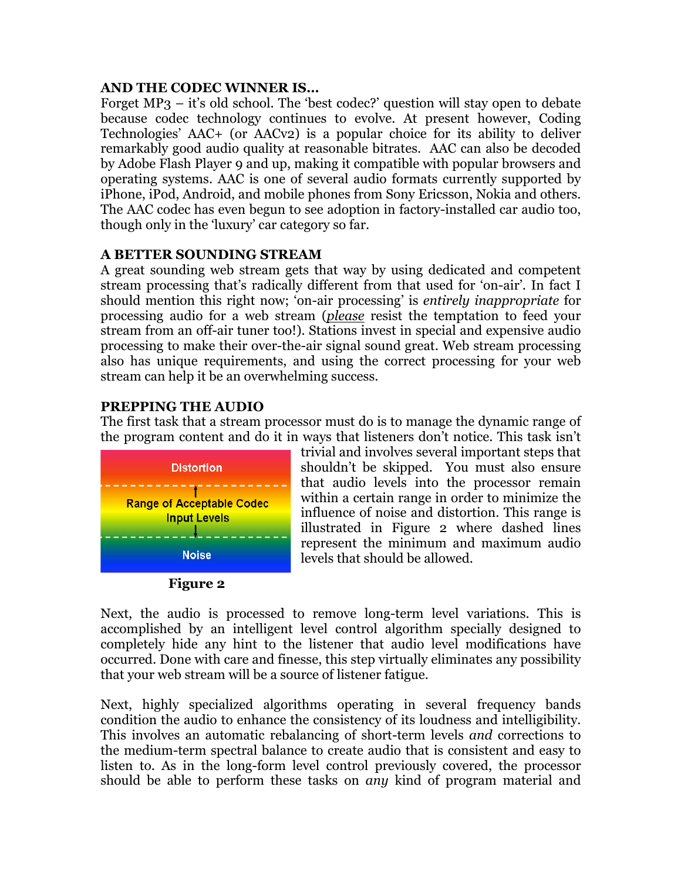### **AND THE CODEC WINNER IS…**

Forget MP3 – it's old school. The 'best codec?' question will stay open to debate because codec technology continues to evolve. At present however, Coding Technologies' AAC+ (or AACv2) is a popular choice for its ability to deliver remarkably good audio quality at reasonable bitrates. AAC can also be decoded by Adobe Flash Player 9 and up, making it compatible with popular browsers and operating systems. AAC is one of several audio formats currently supported by iPhone, iPod, Android, and mobile phones from Sony Ericsson, Nokia and others. The AAC codec has even begun to see adoption in factory-installed car audio too, though only in the 'luxury' car category so far.

# **A BETTER SOUNDING STREAM**

A great sounding web stream gets that way by using dedicated and competent stream processing that's radically different from that used for 'on-air'. In fact I should mention this right now; 'on-air processing' is *entirely inappropriate* for processing audio for a web stream (*please* resist the temptation to feed your stream from an off-air tuner too!). Stations invest in special and expensive audio processing to make their over-the-air signal sound great. Web stream processing also has unique requirements, and using the correct processing for your web stream can help it be an overwhelming success.

# **PREPPING THE AUDIO**

The first task that a stream processor must do is to manage the dynamic range of the program content and do it in ways that listeners don't notice. This task isn't





trivial and involves several important steps that shouldn't be skipped. You must also ensure that audio levels into the processor remain within a certain range in order to minimize the influence of noise and distortion. This range is illustrated in Figure 2 where dashed lines represent the minimum and maximum audio levels that should be allowed.

Next, the audio is processed to remove long-term level variations. This is accomplished by an intelligent level control algorithm specially designed to completely hide any hint to the listener that audio level modifications have occurred. Done with care and finesse, this step virtually eliminates any possibility that your web stream will be a source of listener fatigue.

Next, highly specialized algorithms operating in several frequency bands condition the audio to enhance the consistency of its loudness and intelligibility. This involves an automatic rebalancing of short-term levels *and* corrections to the medium-term spectral balance to create audio that is consistent and easy to listen to. As in the long-form level control previously covered, the processor should be able to perform these tasks on *any* kind of program material and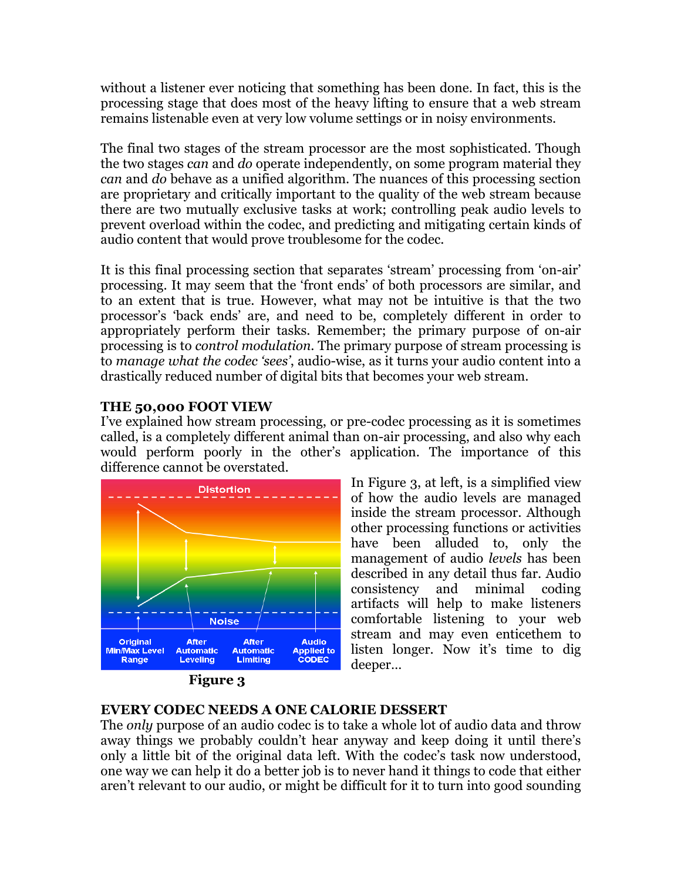without a listener ever noticing that something has been done. In fact, this is the processing stage that does most of the heavy lifting to ensure that a web stream remains listenable even at very low volume settings or in noisy environments.

The final two stages of the stream processor are the most sophisticated. Though the two stages *can* and *do* operate independently, on some program material they *can* and *do* behave as a unified algorithm. The nuances of this processing section are proprietary and critically important to the quality of the web stream because there are two mutually exclusive tasks at work; controlling peak audio levels to prevent overload within the codec, and predicting and mitigating certain kinds of audio content that would prove troublesome for the codec.

It is this final processing section that separates 'stream' processing from 'on-air' processing. It may seem that the 'front ends' of both processors are similar, and to an extent that is true. However, what may not be intuitive is that the two processor's 'back ends' are, and need to be, completely different in order to appropriately perform their tasks. Remember; the primary purpose of on-air processing is to *control modulation*. The primary purpose of stream processing is to *manage what the codec 'sees'*, audio-wise, as it turns your audio content into a drastically reduced number of digital bits that becomes your web stream.

# **THE 50,000 FOOT VIEW**

I've explained how stream processing, or pre-codec processing as it is sometimes called, is a completely different animal than on-air processing, and also why each would perform poorly in the other's application. The importance of this difference cannot be overstated.



In Figure 3, at left, is a simplified view of how the audio levels are managed inside the stream processor. Although other processing functions or activities have been alluded to, only the management of audio *levels* has been described in any detail thus far. Audio consistency and minimal coding artifacts will help to make listeners comfortable listening to your web stream and may even enticethem to listen longer. Now it's time to dig deeper…

# **EVERY CODEC NEEDS A ONE CALORIE DESSERT**

The *only* purpose of an audio codec is to take a whole lot of audio data and throw away things we probably couldn't hear anyway and keep doing it until there's only a little bit of the original data left. With the codec's task now understood, one way we can help it do a better job is to never hand it things to code that either aren't relevant to our audio, or might be difficult for it to turn into good sounding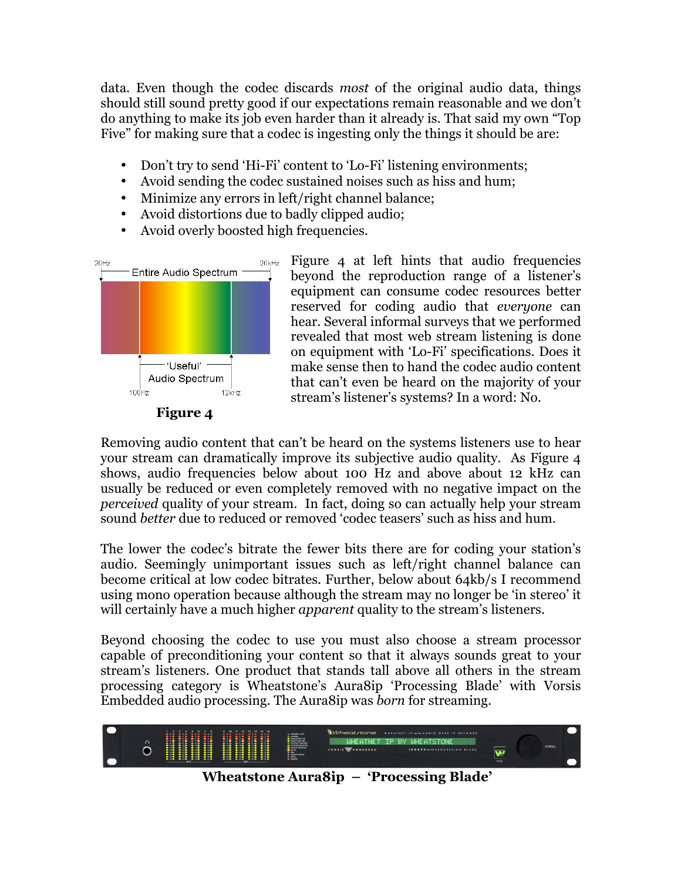data. Even though the codec discards *most* of the original audio data, things should still sound pretty good if our expectations remain reasonable and we don't do anything to make its job even harder than it already is. That said my own "Top Five" for making sure that a codec is ingesting only the things it should be are:

- Don't try to send 'Hi-Fi' content to 'Lo-Fi' listening environments;
- Avoid sending the codec sustained noises such as hiss and hum;
- Minimize any errors in left/right channel balance;
- Avoid distortions due to badly clipped audio;
- Avoid overly boosted high frequencies.



Figure 4 at left hints that audio frequencies beyond the reproduction range of a listener's equipment can consume codec resources better reserved for coding audio that *everyone* can hear. Several informal surveys that we performed revealed that most web stream listening is done on equipment with 'Lo-Fi' specifications. Does it make sense then to hand the codec audio content that can't even be heard on the majority of your stream's listener's systems? In a word: No.



Removing audio content that can't be heard on the systems listeners use to hear your stream can dramatically improve its subjective audio quality. As Figure 4 shows, audio frequencies below about 100 Hz and above about 12 kHz can usually be reduced or even completely removed with no negative impact on the *perceived* quality of your stream. In fact, doing so can actually help your stream sound *better* due to reduced or removed 'codec teasers' such as hiss and hum.

The lower the codec's bitrate the fewer bits there are for coding your station's audio. Seemingly unimportant issues such as left/right channel balance can become critical at low codec bitrates. Further, below about 64kb/s I recommend using mono operation because although the stream may no longer be 'in stereo' it will certainly have a much higher *apparent* quality to the stream's listeners.

Beyond choosing the codec to use you must also choose a stream processor capable of preconditioning your content so that it always sounds great to your stream's listeners. One product that stands tall above all others in the stream processing category is Wheatstone's Aura8ip 'Processing Blade' with Vorsis Embedded audio processing. The Aura8ip was *born* for streaming.



 **Wheatstone Aura8ip – 'Processing Blade'**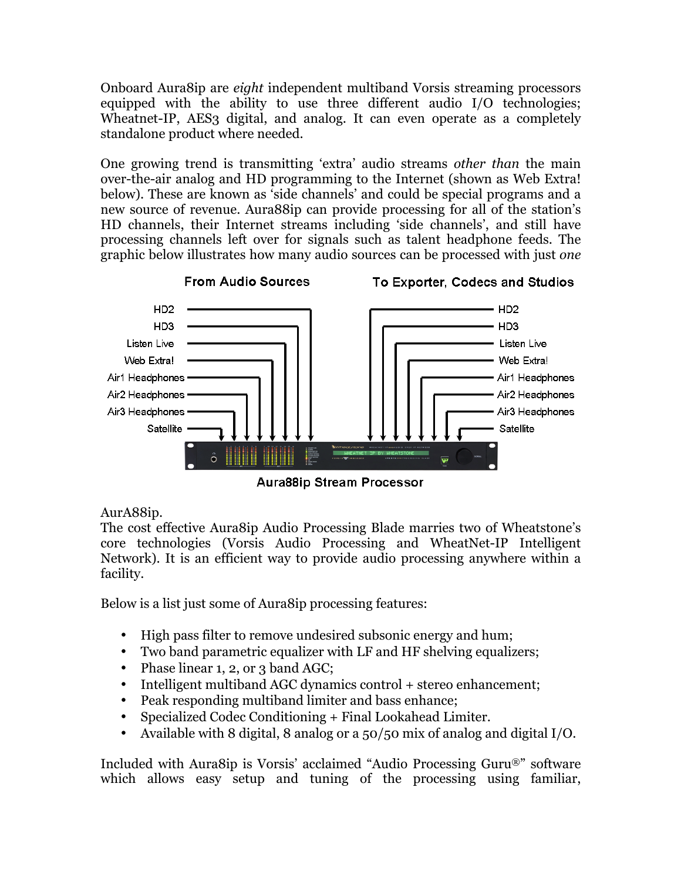Onboard Aura8ip are *eight* independent multiband Vorsis streaming processors equipped with the ability to use three different audio I/O technologies; Wheatnet-IP, AES<sub>3</sub> digital, and analog. It can even operate as a completely standalone product where needed.

One growing trend is transmitting 'extra' audio streams *other than* the main over-the-air analog and HD programming to the Internet (shown as Web Extra! below). These are known as 'side channels' and could be special programs and a new source of revenue. Aura88ip can provide processing for all of the station's HD channels, their Internet streams including 'side channels', and still have processing channels left over for signals such as talent headphone feeds. The graphic below illustrates how many audio sources can be processed with just *one*



**Aura88ip Stream Processor** 

# AurA88ip.

The cost effective Aura8ip Audio Processing Blade marries two of Wheatstone's core technologies (Vorsis Audio Processing and WheatNet-IP Intelligent Network). It is an efficient way to provide audio processing anywhere within a facility.

Below is a list just some of Aura8ip processing features:

- High pass filter to remove undesired subsonic energy and hum;
- Two band parametric equalizer with LF and HF shelving equalizers;
- Phase linear 1, 2, or 3 band AGC;
- Intelligent multiband AGC dynamics control + stereo enhancement;
- Peak responding multiband limiter and bass enhance;
- Specialized Codec Conditioning + Final Lookahead Limiter.
- Available with 8 digital, 8 analog or a 50/50 mix of analog and digital I/O.

Included with Aura8ip is Vorsis' acclaimed "Audio Processing Guru®" software which allows easy setup and tuning of the processing using familiar,